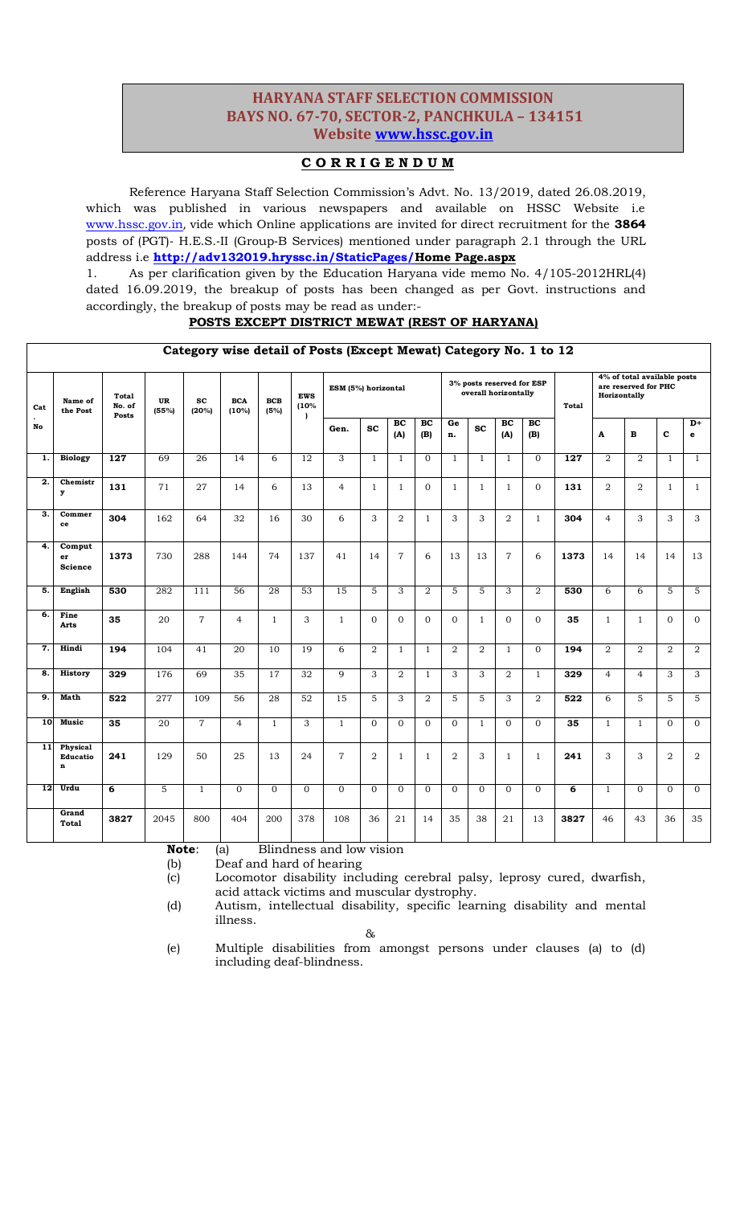# **HARYANA STAFF SELECTION COMMISSION HARYANA STAFF SELECTION COMMISSION BAYS NO. 67-70, SECTOR-2, PANCHKULA – 134151 BAYS NO. 67-70, SECTOR-2, PANCHKULA – 134151 Website www.hssc.gov.in W[ebsite www.hssc.gov.in](http://www.hssc.gov.in/)**

# **C O R R I G E N D U M**

Reference Haryana Staff Selection Commission's Advt. No. 13/2019, dated 26.08.2019, which was published in various newspapers and available on HSSC Website i.e [www.hssc.gov.in](http://www.hssc.gov.in/), vide which Online applications are invited for direct recruitment for the **3864** posts of (PGT)‐ H.E.S.‐II (Group‐B Services) mentioned under paragraph 2.1 through the URL address i.e **[http://adv132019.hryssc.in/StaticPages/H](http://adv132019.hryssc.in/StaticPages/)ome Page.aspx**

1. As per clarification given by the Education Haryana vide memo No. 4/105-2012HRL(4) dated 16.09.2019, the breakup of posts has been changed as per Govt. instructions and accordingly, the breakup of posts may be read as under:-

### **POSTS EXCEPT DISTRICT MEWAT (REST OF HARYANA)**

|                                |                                            |                                 |                  |                    |                     |                    |                    | Category wise detail of Fosts (Except mewar) Category No. 1 to 12 |                |                |                |                                                   |                |                |                |                  |                                                                     |                |              |                      |
|--------------------------------|--------------------------------------------|---------------------------------|------------------|--------------------|---------------------|--------------------|--------------------|-------------------------------------------------------------------|----------------|----------------|----------------|---------------------------------------------------|----------------|----------------|----------------|------------------|---------------------------------------------------------------------|----------------|--------------|----------------------|
| Cat                            | Name of<br>the Post                        | <b>Total</b><br>No. of<br>Posts | UR<br>(55%)      | <b>SC</b><br>(20%) | <b>BCA</b><br>(10%) | <b>BCB</b><br>(5%) | <b>EWS</b><br>(10% | ESM (5%) horizontal                                               |                |                |                | 3% posts reserved for ESP<br>overall horizontally |                |                |                | Total            | 4% of total available posts<br>are reserved for PHC<br>Horizontally |                |              |                      |
| $\overline{\phantom{a}}$<br>No |                                            |                                 |                  |                    |                     |                    | $\lambda$          | Gen.                                                              | <b>SC</b>      | BC<br>(A)      | BC<br>(B)      | Ge<br>n.                                          | <b>SC</b>      | BC<br>(A)      | BC<br>(B)      |                  | A                                                                   | $\mathbf B$    | $\mathbf{C}$ | $D+$<br>$\mathbf{e}$ |
| 1.                             | <b>Biology</b>                             | $\overline{127}$                | 69               | $\overline{26}$    | 14                  | 6                  | $\overline{12}$    | 3                                                                 | $\mathbf{1}$   | $\overline{1}$ | $\mathbf{0}$   | $\mathbf{1}$                                      | $\mathbf{1}$   | $\mathbf{1}$   | $\Omega$       | $\overline{127}$ | $\overline{2}$                                                      | $\overline{2}$ | $\mathbf{1}$ | $\mathbf{1}$         |
| 2.                             | Chemistr<br>y                              | 131                             | 71               | 27                 | 14                  | 6                  | 13                 | $\overline{4}$                                                    | $\mathbf{1}$   | 1              | $\Omega$       | $\mathbf{1}$                                      | $\mathbf{1}$   | $\mathbf{1}$   | $\Omega$       | 131              | 2                                                                   | 2              | $\mathbf{1}$ | $\mathbf{1}$         |
| 3.                             | Commer<br>ce                               | 304                             | 162              | 64                 | 32                  | 16                 | 30                 | 6                                                                 | 3              | $\overline{2}$ | $\mathbf{1}$   | 3                                                 | 3              | $\overline{2}$ | $\mathbf{1}$   | 304              | $\overline{4}$                                                      | 3              | 3            | 3                    |
| 4.                             | Comput<br>er<br><b>Science</b>             | 1373                            | 730              | 288                | 144                 | 74                 | 137                | 41                                                                | 14             | $\overline{7}$ | 6              | 13                                                | 13             | $\overline{7}$ | 6              | 1373             | 14                                                                  | 14             | 14           | 13                   |
| 5.                             | English                                    | 530                             | 282              | 111                | $\overline{56}$     | 28                 | $\overline{53}$    | $\overline{15}$                                                   | 5              | 3              | $\overline{2}$ | 5                                                 | 5              | 3              | 2              | 530              | 6                                                                   | 6              | 5            | 5                    |
| 6.                             | Fine<br><b>Arts</b>                        | 35                              | 20               | $\overline{7}$     | $\overline{4}$      | $\mathbf{1}$       | 3                  | $\mathbf{1}$                                                      | $\Omega$       | $\Omega$       | $\mathbf{0}$   | $\mathbf{O}$                                      | $\mathbf{1}$   | $\overline{0}$ | $\overline{0}$ | 35               | $\mathbf{1}$                                                        | $\mathbf{1}$   | $\mathbf{O}$ | $\mathbf{0}$         |
| 7.                             | Hindi                                      | 194                             | 104              | 41                 | 20                  | 10                 | 19                 | 6                                                                 | $\overline{2}$ | $\mathbf{1}$   | $\mathbf{1}$   | $\overline{2}$                                    | $\overline{2}$ | $\mathbf{1}$   | $\Omega$       | 194              | $\overline{2}$                                                      | $\overline{2}$ | 2            | 2                    |
| 8.                             | <b>History</b>                             | 329                             | 176              | 69                 | $\overline{35}$     | 17                 | 32                 | 9                                                                 | 3              | $\overline{2}$ | $\mathbf{1}$   | 3                                                 | 3              | $\overline{2}$ | 1              | 329              | $\overline{4}$                                                      | $\overline{4}$ | 3            | 3                    |
| 9.                             | <b>Math</b>                                | 522                             | $\overline{277}$ | 109                | 56                  | 28                 | 52                 | 15                                                                | 5              | 3              | 2              | 5                                                 | 5              | 3              | 2              | 522              | 6                                                                   | 5              | 5            | 5                    |
| <b>10</b>                      | <b>Music</b>                               | 35                              | $\overline{20}$  | $\overline{7}$     | $\overline{4}$      | $\mathbf{1}$       | 3                  | $\mathbf{1}$                                                      | $\Omega$       | $\Omega$       | $\Omega$       | $\mathbf{0}$                                      | $\mathbf{1}$   | $\mathbf{0}$   | $\Omega$       | 35               | $\mathbf{1}$                                                        | $\mathbf{1}$   | $\Omega$     | $\overline{0}$       |
| 11                             | Physical<br><b>Educatio</b><br>$\mathbf n$ | 241                             | 129              | 50                 | 25                  | 13                 | 24                 | $\overline{7}$                                                    | $\overline{2}$ | 1              | 1              | $\overline{2}$                                    | 3              | $\mathbf{1}$   | 1              | 241              | 3                                                                   | 3              | 2            | $\overline{2}$       |
| 12 <sub>1</sub>                | Urdu                                       | 6                               | 5                | $\mathbf{1}$       | $\Omega$            | $\Omega$           | $\mathbf{0}$       | $\mathbf{0}$                                                      | $\Omega$       | $\Omega$       | $\Omega$       | $\Omega$                                          | $\Omega$       | $\Omega$       | $\Omega$       | 6                | $\mathbf{1}$                                                        | $\Omega$       | $\Omega$     | $\overline{0}$       |
|                                | Grand<br><b>Total</b>                      | 3827                            | 2045             | 800                | 404                 | 200                | 378                | 108                                                               | 36             | 21             | 14             | 35                                                | 38             | 21             | 13             | 3827             | 46                                                                  | 43             | 36           | 35                   |

**Category wise detail of Posts (Except Mewat) Category No. 1 to 12**

**Note**: (a) Blindness and low vision

(b) Deaf and hard of hearing

(c) Locomotor disability including cerebral palsy, leprosy cured, dwarfish, acid attack victims and muscular dystrophy.

(d) Autism, intellectual disability, specific learning disability and mental illness.

&

(e) Multiple disabilities from amongst persons under clauses (a) to (d) including deaf-blindness.